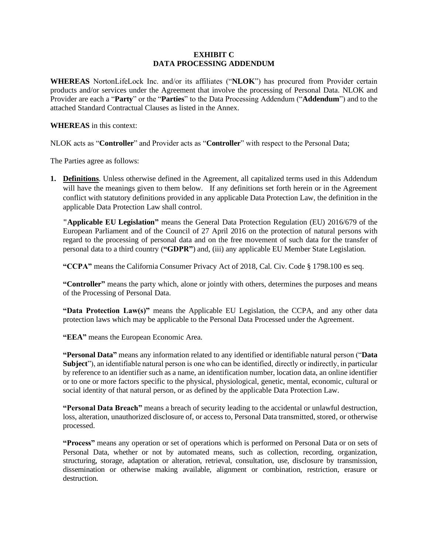#### **EXHIBIT C DATA PROCESSING ADDENDUM**

**WHEREAS** NortonLifeLock Inc. and/or its affiliates ("**NLOK**") has procured from Provider certain products and/or services under the Agreement that involve the processing of Personal Data. NLOK and Provider are each a "**Party**" or the "**Parties**" to the Data Processing Addendum ("**Addendum**") and to the attached Standard Contractual Clauses as listed in the Annex.

#### **WHEREAS** in this context:

NLOK acts as "**Controller**" and Provider acts as "**Controller**" with respect to the Personal Data;

The Parties agree as follows:

**1. Definitions**. Unless otherwise defined in the Agreement, all capitalized terms used in this Addendum will have the meanings given to them below. If any definitions set forth herein or in the Agreement conflict with statutory definitions provided in any applicable Data Protection Law, the definition in the applicable Data Protection Law shall control.

**"Applicable EU Legislation"** means the General Data Protection Regulation (EU) 2016/679 of the European Parliament and of the Council of 27 April 2016 on the protection of natural persons with regard to the processing of personal data and on the free movement of such data for the transfer of personal data to a third country (**"GDPR"**) and, (iii) any applicable EU Member State Legislation.

**"CCPA"** means the California Consumer Privacy Act of 2018, Cal. Civ. Code § 1798.100 es seq.

**"Controller"** means the party which, alone or jointly with others, determines the purposes and means of the Processing of Personal Data.

**"Data Protection Law(s)"** means the Applicable EU Legislation, the CCPA, and any other data protection laws which may be applicable to the Personal Data Processed under the Agreement.

**"EEA"** means the European Economic Area.

**"Personal Data"** means any information related to any identified or identifiable natural person ("**Data Subject**"), an identifiable natural person is one who can be identified, directly or indirectly, in particular by reference to an identifier such as a name, an identification number, location data, an online identifier or to one or more factors specific to the physical, physiological, genetic, mental, economic, cultural or social identity of that natural person, or as defined by the applicable Data Protection Law.

**"Personal Data Breach"** means a breach of security leading to the accidental or unlawful destruction, loss, alteration, unauthorized disclosure of, or access to, Personal Data transmitted, stored, or otherwise processed.

**"Process"** means any operation or set of operations which is performed on Personal Data or on sets of Personal Data, whether or not by automated means, such as collection, recording, organization, structuring, storage, adaptation or alteration, retrieval, consultation, use, disclosure by transmission, dissemination or otherwise making available, alignment or combination, restriction, erasure or destruction.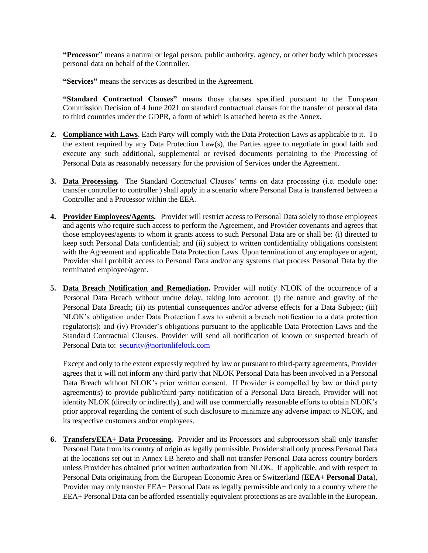**"Processor"** means a natural or legal person, public authority, agency, or other body which processes personal data on behalf of the Controller.

**"Services"** means the services as described in the Agreement.

**"Standard Contractual Clauses"** means those clauses specified pursuant to the European Commission Decision of 4 June 2021 on standard contractual clauses for the transfer of personal data to third countries under the GDPR, a form of which is attached hereto as the Annex.

- **2. Compliance with Laws**. Each Party will comply with the Data Protection Laws as applicable to it. To the extent required by any Data Protection Law(s), the Parties agree to negotiate in good faith and execute any such additional, supplemental or revised documents pertaining to the Processing of Personal Data as reasonably necessary for the provision of Services under the Agreement.
- **3. Data Processing.** The Standard Contractual Clauses' terms on data processing (i.e. module one: transfer controller to controller ) shall apply in a scenario where Personal Data is transferred between a Controller and a Processor within the EEA.
- **4. Provider Employees/Agents.** Provider will restrict access to Personal Data solely to those employees and agents who require such access to perform the Agreement, and Provider covenants and agrees that those employees/agents to whom it grants access to such Personal Data are or shall be: (i) directed to keep such Personal Data confidential; and (ii) subject to written confidentiality obligations consistent with the Agreement and applicable Data Protection Laws. Upon termination of any employee or agent, Provider shall prohibit access to Personal Data and/or any systems that process Personal Data by the terminated employee/agent.
- **5. Data Breach Notification and Remediation.** Provider will notify NLOK of the occurrence of a Personal Data Breach without undue delay, taking into account: (i) the nature and gravity of the Personal Data Breach; (ii) its potential consequences and/or adverse effects for a Data Subject; (iii) NLOK's obligation under Data Protection Laws to submit a breach notification to a data protection regulator(s); and (iv) Provider's obligations pursuant to the applicable Data Protection Laws and the Standard Contractual Clauses. Provider will send all notification of known or suspected breach of Personal Data to: [security@nortonlifelock.com](mailto:security@nortonlifelock.com)

Except and only to the extent expressly required by law or pursuant to third-party agreements, Provider agrees that it will not inform any third party that NLOK Personal Data has been involved in a Personal Data Breach without NLOK's prior written consent. If Provider is compelled by law or third party agreement(s) to provide public/third-party notification of a Personal Data Breach, Provider will not identity NLOK (directly or indirectly), and will use commercially reasonable efforts to obtain NLOK's prior approval regarding the content of such disclosure to minimize any adverse impact to NLOK, and its respective customers and/or employees.

**6. Transfers/EEA+ Data Processing.** Provider and its Processors and subprocessors shall only transfer Personal Data from its country of origin as legally permissible. Provider shall only process Personal Data at the locations set out in Annex I.B hereto and shall not transfer Personal Data across country borders unless Provider has obtained prior written authorization from NLOK. If applicable, and with respect to Personal Data originating from the European Economic Area or Switzerland (**EEA+ Personal Data**), Provider may only transfer EEA+ Personal Data as legally permissible and only to a country where the EEA+ Personal Data can be afforded essentially equivalent protections as are available in the European.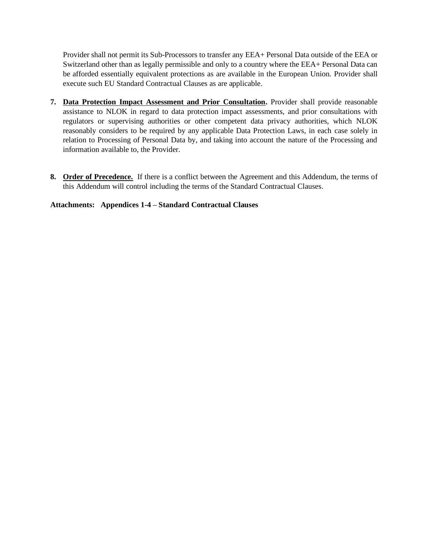Provider shall not permit its Sub-Processors to transfer any EEA+ Personal Data outside of the EEA or Switzerland other than as legally permissible and only to a country where the EEA+ Personal Data can be afforded essentially equivalent protections as are available in the European Union. Provider shall execute such EU Standard Contractual Clauses as are applicable.

- **7. Data Protection Impact Assessment and Prior Consultation.** Provider shall provide reasonable assistance to NLOK in regard to data protection impact assessments, and prior consultations with regulators or supervising authorities or other competent data privacy authorities, which NLOK reasonably considers to be required by any applicable Data Protection Laws, in each case solely in relation to Processing of Personal Data by, and taking into account the nature of the Processing and information available to, the Provider.
- **8. Order of Precedence.** If there is a conflict between the Agreement and this Addendum, the terms of this Addendum will control including the terms of the Standard Contractual Clauses.

## **Attachments: Appendices 1-4 – Standard Contractual Clauses**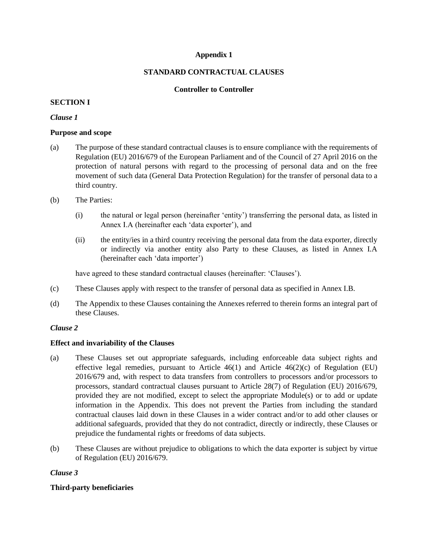## **Appendix 1**

#### **STANDARD CONTRACTUAL CLAUSES**

## **Controller to Controller**

## **SECTION I**

## *Clause 1*

## **Purpose and scope**

- (a) The purpose of these standard contractual clauses is to ensure compliance with the requirements of Regulation (EU) 2016/679 of the European Parliament and of the Council of 27 April 2016 on the protection of natural persons with regard to the processing of personal data and on the free movement of such data (General Data Protection Regulation) for the transfer of personal data to a third country.
- (b) The Parties:
	- (i) the natural or legal person (hereinafter 'entity') transferring the personal data, as listed in Annex I.A (hereinafter each 'data exporter'), and
	- (ii) the entity/ies in a third country receiving the personal data from the data exporter, directly or indirectly via another entity also Party to these Clauses, as listed in Annex I.A (hereinafter each 'data importer')

have agreed to these standard contractual clauses (hereinafter: 'Clauses').

- (c) These Clauses apply with respect to the transfer of personal data as specified in Annex I.B.
- (d) The Appendix to these Clauses containing the Annexes referred to therein forms an integral part of these Clauses.

## *Clause 2*

## **Effect and invariability of the Clauses**

- (a) These Clauses set out appropriate safeguards, including enforceable data subject rights and effective legal remedies, pursuant to Article  $46(1)$  and Article  $46(2)(c)$  of Regulation (EU) 2016/679 and, with respect to data transfers from controllers to processors and/or processors to processors, standard contractual clauses pursuant to Article 28(7) of Regulation (EU) 2016/679, provided they are not modified, except to select the appropriate Module(s) or to add or update information in the Appendix. This does not prevent the Parties from including the standard contractual clauses laid down in these Clauses in a wider contract and/or to add other clauses or additional safeguards, provided that they do not contradict, directly or indirectly, these Clauses or prejudice the fundamental rights or freedoms of data subjects.
- (b) These Clauses are without prejudice to obligations to which the data exporter is subject by virtue of Regulation (EU) 2016/679.

## *Clause 3*

# **Third-party beneficiaries**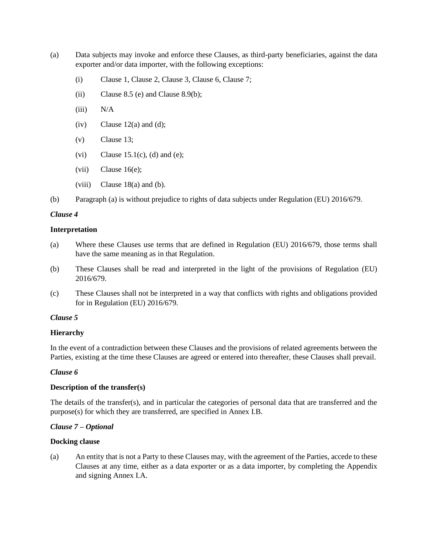- (a) Data subjects may invoke and enforce these Clauses, as third-party beneficiaries, against the data exporter and/or data importer, with the following exceptions:
	- (i) Clause 1, Clause 2, Clause 3, Clause 6, Clause 7;
	- (ii) Clause 8.5 (e) and Clause 8.9(b);
	- $(iii)$   $N/A$
	- $(iv)$  Clause 12(a) and (d);
	- (v) Clause 13;
	- (vi) Clause 15.1(c), (d) and (e);
	- (vii) Clause 16(e);
	- (viii) Clause  $18(a)$  and (b).
- (b) Paragraph (a) is without prejudice to rights of data subjects under Regulation (EU) 2016/679.

## *Clause 4*

#### **Interpretation**

- (a) Where these Clauses use terms that are defined in Regulation (EU) 2016/679, those terms shall have the same meaning as in that Regulation.
- (b) These Clauses shall be read and interpreted in the light of the provisions of Regulation (EU) 2016/679.
- (c) These Clauses shall not be interpreted in a way that conflicts with rights and obligations provided for in Regulation (EU) 2016/679.

## *Clause 5*

## **Hierarchy**

In the event of a contradiction between these Clauses and the provisions of related agreements between the Parties, existing at the time these Clauses are agreed or entered into thereafter, these Clauses shall prevail.

## *Clause 6*

## **Description of the transfer(s)**

The details of the transfer(s), and in particular the categories of personal data that are transferred and the purpose(s) for which they are transferred, are specified in Annex I.B.

## *Clause 7 – Optional*

## **Docking clause**

(a) An entity that is not a Party to these Clauses may, with the agreement of the Parties, accede to these Clauses at any time, either as a data exporter or as a data importer, by completing the Appendix and signing Annex I.A.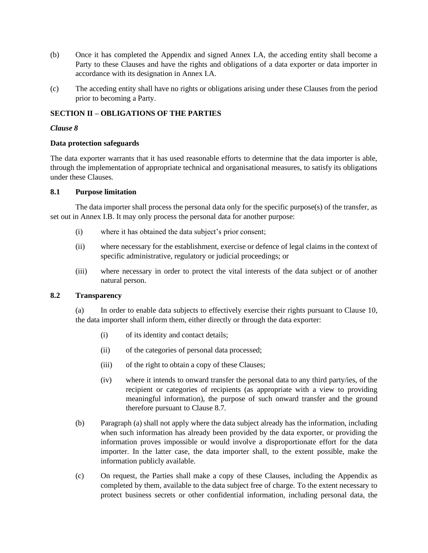- (b) Once it has completed the Appendix and signed Annex I.A, the acceding entity shall become a Party to these Clauses and have the rights and obligations of a data exporter or data importer in accordance with its designation in Annex I.A.
- (c) The acceding entity shall have no rights or obligations arising under these Clauses from the period prior to becoming a Party.

# **SECTION II – OBLIGATIONS OF THE PARTIES**

## *Clause 8*

#### **Data protection safeguards**

The data exporter warrants that it has used reasonable efforts to determine that the data importer is able, through the implementation of appropriate technical and organisational measures, to satisfy its obligations under these Clauses.

#### **8.1 Purpose limitation**

The data importer shall process the personal data only for the specific purpose(s) of the transfer, as set out in Annex I.B. It may only process the personal data for another purpose:

- (i) where it has obtained the data subject's prior consent;
- (ii) where necessary for the establishment, exercise or defence of legal claims in the context of specific administrative, regulatory or judicial proceedings; or
- (iii) where necessary in order to protect the vital interests of the data subject or of another natural person.

## **8.2 Transparency**

(a) In order to enable data subjects to effectively exercise their rights pursuant to Clause 10, the data importer shall inform them, either directly or through the data exporter:

- (i) of its identity and contact details;
- (ii) of the categories of personal data processed;
- (iii) of the right to obtain a copy of these Clauses;
- (iv) where it intends to onward transfer the personal data to any third party/ies, of the recipient or categories of recipients (as appropriate with a view to providing meaningful information), the purpose of such onward transfer and the ground therefore pursuant to Clause 8.7.
- (b) Paragraph (a) shall not apply where the data subject already has the information, including when such information has already been provided by the data exporter, or providing the information proves impossible or would involve a disproportionate effort for the data importer. In the latter case, the data importer shall, to the extent possible, make the information publicly available.
- (c) On request, the Parties shall make a copy of these Clauses, including the Appendix as completed by them, available to the data subject free of charge. To the extent necessary to protect business secrets or other confidential information, including personal data, the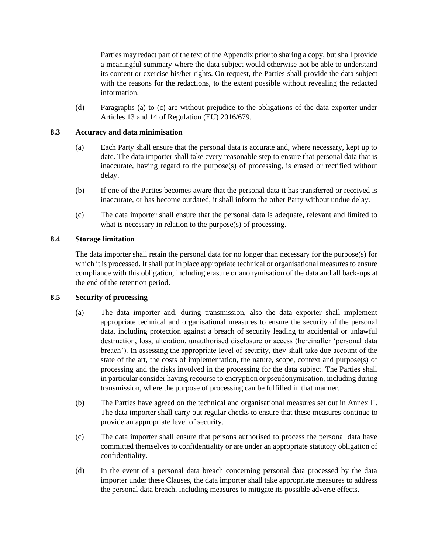Parties may redact part of the text of the Appendix prior to sharing a copy, but shall provide a meaningful summary where the data subject would otherwise not be able to understand its content or exercise his/her rights. On request, the Parties shall provide the data subject with the reasons for the redactions, to the extent possible without revealing the redacted information.

(d) Paragraphs (a) to (c) are without prejudice to the obligations of the data exporter under Articles 13 and 14 of Regulation (EU) 2016/679.

## **8.3 Accuracy and data minimisation**

- (a) Each Party shall ensure that the personal data is accurate and, where necessary, kept up to date. The data importer shall take every reasonable step to ensure that personal data that is inaccurate, having regard to the purpose(s) of processing, is erased or rectified without delay.
- (b) If one of the Parties becomes aware that the personal data it has transferred or received is inaccurate, or has become outdated, it shall inform the other Party without undue delay.
- (c) The data importer shall ensure that the personal data is adequate, relevant and limited to what is necessary in relation to the purpose(s) of processing.

## **8.4 Storage limitation**

The data importer shall retain the personal data for no longer than necessary for the purpose(s) for which it is processed. It shall put in place appropriate technical or organisational measures to ensure compliance with this obligation, including erasure or anonymisation of the data and all back-ups at the end of the retention period.

## **8.5 Security of processing**

- (a) The data importer and, during transmission, also the data exporter shall implement appropriate technical and organisational measures to ensure the security of the personal data, including protection against a breach of security leading to accidental or unlawful destruction, loss, alteration, unauthorised disclosure or access (hereinafter 'personal data breach'). In assessing the appropriate level of security, they shall take due account of the state of the art, the costs of implementation, the nature, scope, context and purpose(s) of processing and the risks involved in the processing for the data subject. The Parties shall in particular consider having recourse to encryption or pseudonymisation, including during transmission, where the purpose of processing can be fulfilled in that manner.
- (b) The Parties have agreed on the technical and organisational measures set out in Annex II. The data importer shall carry out regular checks to ensure that these measures continue to provide an appropriate level of security.
- (c) The data importer shall ensure that persons authorised to process the personal data have committed themselves to confidentiality or are under an appropriate statutory obligation of confidentiality.
- (d) In the event of a personal data breach concerning personal data processed by the data importer under these Clauses, the data importer shall take appropriate measures to address the personal data breach, including measures to mitigate its possible adverse effects.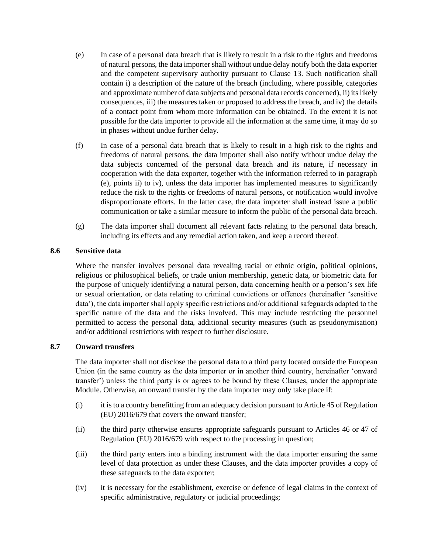- (e) In case of a personal data breach that is likely to result in a risk to the rights and freedoms of natural persons, the data importer shall without undue delay notify both the data exporter and the competent supervisory authority pursuant to Clause 13. Such notification shall contain i) a description of the nature of the breach (including, where possible, categories and approximate number of data subjects and personal data records concerned), ii) its likely consequences, iii) the measures taken or proposed to address the breach, and iv) the details of a contact point from whom more information can be obtained. To the extent it is not possible for the data importer to provide all the information at the same time, it may do so in phases without undue further delay.
- (f) In case of a personal data breach that is likely to result in a high risk to the rights and freedoms of natural persons, the data importer shall also notify without undue delay the data subjects concerned of the personal data breach and its nature, if necessary in cooperation with the data exporter, together with the information referred to in paragraph (e), points ii) to iv), unless the data importer has implemented measures to significantly reduce the risk to the rights or freedoms of natural persons, or notification would involve disproportionate efforts. In the latter case, the data importer shall instead issue a public communication or take a similar measure to inform the public of the personal data breach.
- (g) The data importer shall document all relevant facts relating to the personal data breach, including its effects and any remedial action taken, and keep a record thereof.

## **8.6 Sensitive data**

Where the transfer involves personal data revealing racial or ethnic origin, political opinions, religious or philosophical beliefs, or trade union membership, genetic data, or biometric data for the purpose of uniquely identifying a natural person, data concerning health or a person's sex life or sexual orientation, or data relating to criminal convictions or offences (hereinafter 'sensitive data'), the data importer shall apply specific restrictions and/or additional safeguards adapted to the specific nature of the data and the risks involved. This may include restricting the personnel permitted to access the personal data, additional security measures (such as pseudonymisation) and/or additional restrictions with respect to further disclosure.

## **8.7 Onward transfers**

The data importer shall not disclose the personal data to a third party located outside the European Union (in the same country as the data importer or in another third country, hereinafter 'onward transfer') unless the third party is or agrees to be bound by these Clauses, under the appropriate Module. Otherwise, an onward transfer by the data importer may only take place if:

- (i) it is to a country benefitting from an adequacy decision pursuant to Article 45 of Regulation (EU) 2016/679 that covers the onward transfer;
- (ii) the third party otherwise ensures appropriate safeguards pursuant to Articles 46 or 47 of Regulation (EU) 2016/679 with respect to the processing in question;
- (iii) the third party enters into a binding instrument with the data importer ensuring the same level of data protection as under these Clauses, and the data importer provides a copy of these safeguards to the data exporter;
- (iv) it is necessary for the establishment, exercise or defence of legal claims in the context of specific administrative, regulatory or judicial proceedings;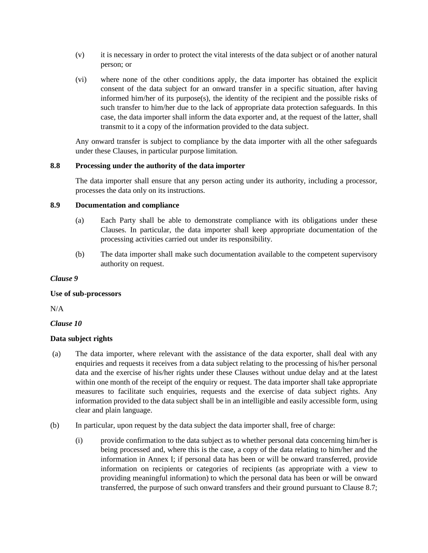- (v) it is necessary in order to protect the vital interests of the data subject or of another natural person; or
- (vi) where none of the other conditions apply, the data importer has obtained the explicit consent of the data subject for an onward transfer in a specific situation, after having informed him/her of its purpose(s), the identity of the recipient and the possible risks of such transfer to him/her due to the lack of appropriate data protection safeguards. In this case, the data importer shall inform the data exporter and, at the request of the latter, shall transmit to it a copy of the information provided to the data subject.

Any onward transfer is subject to compliance by the data importer with all the other safeguards under these Clauses, in particular purpose limitation.

## **8.8 Processing under the authority of the data importer**

The data importer shall ensure that any person acting under its authority, including a processor, processes the data only on its instructions.

## **8.9 Documentation and compliance**

- (a) Each Party shall be able to demonstrate compliance with its obligations under these Clauses. In particular, the data importer shall keep appropriate documentation of the processing activities carried out under its responsibility.
- (b) The data importer shall make such documentation available to the competent supervisory authority on request.

# *Clause 9*

## **Use of sub-processors**

N/A

## *Clause 10*

## **Data subject rights**

- (a) The data importer, where relevant with the assistance of the data exporter, shall deal with any enquiries and requests it receives from a data subject relating to the processing of his/her personal data and the exercise of his/her rights under these Clauses without undue delay and at the latest within one month of the receipt of the enquiry or request. The data importer shall take appropriate measures to facilitate such enquiries, requests and the exercise of data subject rights. Any information provided to the data subject shall be in an intelligible and easily accessible form, using clear and plain language.
- (b) In particular, upon request by the data subject the data importer shall, free of charge:
	- (i) provide confirmation to the data subject as to whether personal data concerning him/her is being processed and, where this is the case, a copy of the data relating to him/her and the information in Annex I; if personal data has been or will be onward transferred, provide information on recipients or categories of recipients (as appropriate with a view to providing meaningful information) to which the personal data has been or will be onward transferred, the purpose of such onward transfers and their ground pursuant to Clause 8.7;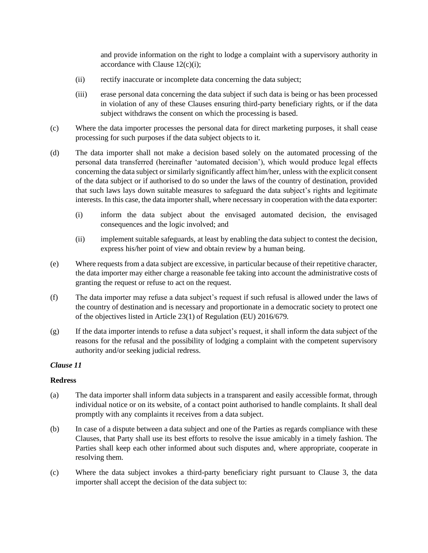and provide information on the right to lodge a complaint with a supervisory authority in accordance with Clause 12(c)(i);

- (ii) rectify inaccurate or incomplete data concerning the data subject;
- (iii) erase personal data concerning the data subject if such data is being or has been processed in violation of any of these Clauses ensuring third-party beneficiary rights, or if the data subject withdraws the consent on which the processing is based.
- (c) Where the data importer processes the personal data for direct marketing purposes, it shall cease processing for such purposes if the data subject objects to it.
- (d) The data importer shall not make a decision based solely on the automated processing of the personal data transferred (hereinafter 'automated decision'), which would produce legal effects concerning the data subject or similarly significantly affect him/her, unless with the explicit consent of the data subject or if authorised to do so under the laws of the country of destination, provided that such laws lays down suitable measures to safeguard the data subject's rights and legitimate interests. In this case, the data importer shall, where necessary in cooperation with the data exporter:
	- (i) inform the data subject about the envisaged automated decision, the envisaged consequences and the logic involved; and
	- (ii) implement suitable safeguards, at least by enabling the data subject to contest the decision, express his/her point of view and obtain review by a human being.
- (e) Where requests from a data subject are excessive, in particular because of their repetitive character, the data importer may either charge a reasonable fee taking into account the administrative costs of granting the request or refuse to act on the request.
- (f) The data importer may refuse a data subject's request if such refusal is allowed under the laws of the country of destination and is necessary and proportionate in a democratic society to protect one of the objectives listed in Article 23(1) of Regulation (EU) 2016/679.
- (g) If the data importer intends to refuse a data subject's request, it shall inform the data subject of the reasons for the refusal and the possibility of lodging a complaint with the competent supervisory authority and/or seeking judicial redress.

# *Clause 11*

# **Redress**

- (a) The data importer shall inform data subjects in a transparent and easily accessible format, through individual notice or on its website, of a contact point authorised to handle complaints. It shall deal promptly with any complaints it receives from a data subject.
- (b) In case of a dispute between a data subject and one of the Parties as regards compliance with these Clauses, that Party shall use its best efforts to resolve the issue amicably in a timely fashion. The Parties shall keep each other informed about such disputes and, where appropriate, cooperate in resolving them.
- (c) Where the data subject invokes a third-party beneficiary right pursuant to Clause 3, the data importer shall accept the decision of the data subject to: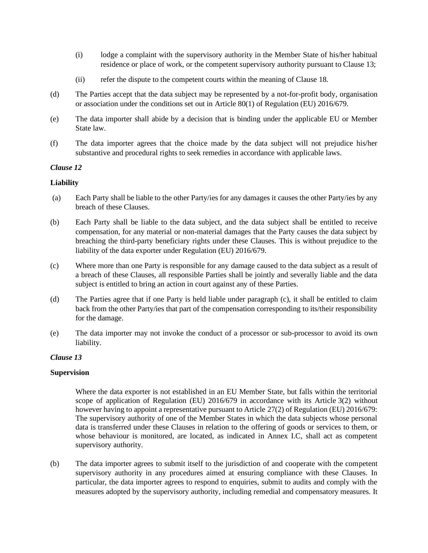- (i) lodge a complaint with the supervisory authority in the Member State of his/her habitual residence or place of work, or the competent supervisory authority pursuant to Clause 13;
- (ii) refer the dispute to the competent courts within the meaning of Clause 18.
- (d) The Parties accept that the data subject may be represented by a not-for-profit body, organisation or association under the conditions set out in Article 80(1) of Regulation (EU) 2016/679.
- (e) The data importer shall abide by a decision that is binding under the applicable EU or Member State law.
- (f) The data importer agrees that the choice made by the data subject will not prejudice his/her substantive and procedural rights to seek remedies in accordance with applicable laws.

## *Clause 12*

## **Liability**

- (a) Each Party shall be liable to the other Party/ies for any damages it causes the other Party/ies by any breach of these Clauses.
- (b) Each Party shall be liable to the data subject, and the data subject shall be entitled to receive compensation, for any material or non-material damages that the Party causes the data subject by breaching the third-party beneficiary rights under these Clauses. This is without prejudice to the liability of the data exporter under Regulation (EU) 2016/679.
- (c) Where more than one Party is responsible for any damage caused to the data subject as a result of a breach of these Clauses, all responsible Parties shall be jointly and severally liable and the data subject is entitled to bring an action in court against any of these Parties.
- (d) The Parties agree that if one Party is held liable under paragraph (c), it shall be entitled to claim back from the other Party/ies that part of the compensation corresponding to its/their responsibility for the damage.
- (e) The data importer may not invoke the conduct of a processor or sub-processor to avoid its own liability.

## *Clause 13*

## **Supervision**

Where the data exporter is not established in an EU Member State, but falls within the territorial scope of application of Regulation (EU) 2016/679 in accordance with its Article 3(2) without however having to appoint a representative pursuant to Article 27(2) of Regulation (EU) 2016/679: The supervisory authority of one of the Member States in which the data subjects whose personal data is transferred under these Clauses in relation to the offering of goods or services to them, or whose behaviour is monitored, are located, as indicated in Annex I.C, shall act as competent supervisory authority.

(b) The data importer agrees to submit itself to the jurisdiction of and cooperate with the competent supervisory authority in any procedures aimed at ensuring compliance with these Clauses. In particular, the data importer agrees to respond to enquiries, submit to audits and comply with the measures adopted by the supervisory authority, including remedial and compensatory measures. It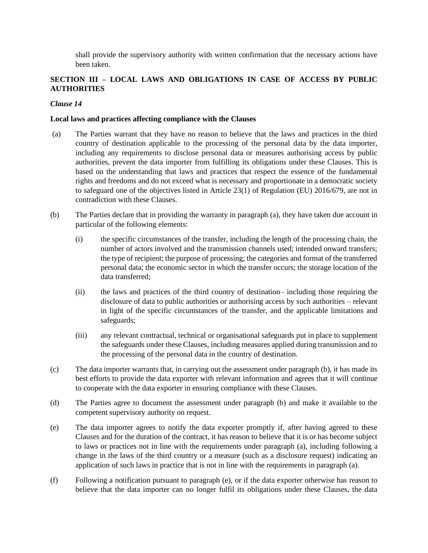shall provide the supervisory authority with written confirmation that the necessary actions have been taken.

## **SECTION III – LOCAL LAWS AND OBLIGATIONS IN CASE OF ACCESS BY PUBLIC AUTHORITIES**

#### *Clause 14*

#### **Local laws and practices affecting compliance with the Clauses**

- (a) The Parties warrant that they have no reason to believe that the laws and practices in the third country of destination applicable to the processing of the personal data by the data importer, including any requirements to disclose personal data or measures authorising access by public authorities, prevent the data importer from fulfilling its obligations under these Clauses. This is based on the understanding that laws and practices that respect the essence of the fundamental rights and freedoms and do not exceed what is necessary and proportionate in a democratic society to safeguard one of the objectives listed in Article 23(1) of Regulation (EU) 2016/679, are not in contradiction with these Clauses.
- (b) The Parties declare that in providing the warranty in paragraph (a), they have taken due account in particular of the following elements:
	- (i) the specific circumstances of the transfer, including the length of the processing chain, the number of actors involved and the transmission channels used; intended onward transfers; the type of recipient; the purpose of processing; the categories and format of the transferred personal data; the economic sector in which the transfer occurs; the storage location of the data transferred;
	- (ii) the laws and practices of the third country of destination– including those requiring the disclosure of data to public authorities or authorising access by such authorities – relevant in light of the specific circumstances of the transfer, and the applicable limitations and safeguards;
	- (iii) any relevant contractual, technical or organisational safeguards put in place to supplement the safeguards under these Clauses, including measures applied during transmission and to the processing of the personal data in the country of destination.
- (c) The data importer warrants that, in carrying out the assessment under paragraph (b), it has made its best efforts to provide the data exporter with relevant information and agrees that it will continue to cooperate with the data exporter in ensuring compliance with these Clauses.
- (d) The Parties agree to document the assessment under paragraph (b) and make it available to the competent supervisory authority on request.
- (e) The data importer agrees to notify the data exporter promptly if, after having agreed to these Clauses and for the duration of the contract, it has reason to believe that it is or has become subject to laws or practices not in line with the requirements under paragraph (a), including following a change in the laws of the third country or a measure (such as a disclosure request) indicating an application of such laws in practice that is not in line with the requirements in paragraph (a).
- (f) Following a notification pursuant to paragraph (e), or if the data exporter otherwise has reason to believe that the data importer can no longer fulfil its obligations under these Clauses, the data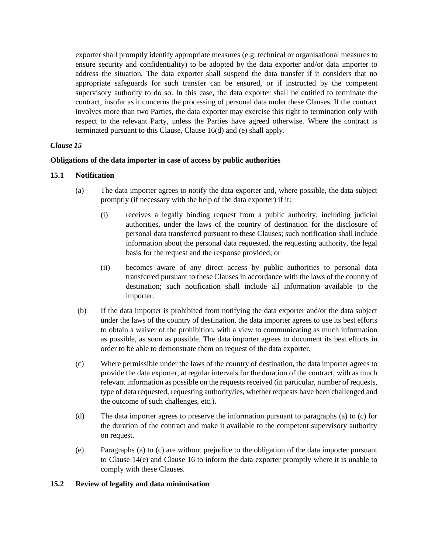exporter shall promptly identify appropriate measures (e.g. technical or organisational measures to ensure security and confidentiality) to be adopted by the data exporter and/or data importer to address the situation. The data exporter shall suspend the data transfer if it considers that no appropriate safeguards for such transfer can be ensured, or if instructed by the competent supervisory authority to do so. In this case, the data exporter shall be entitled to terminate the contract, insofar as it concerns the processing of personal data under these Clauses. If the contract involves more than two Parties, the data exporter may exercise this right to termination only with respect to the relevant Party, unless the Parties have agreed otherwise. Where the contract is terminated pursuant to this Clause, Clause 16(d) and (e) shall apply.

## *Clause 15*

## **Obligations of the data importer in case of access by public authorities**

## **15.1 Notification**

- (a) The data importer agrees to notify the data exporter and, where possible, the data subject promptly (if necessary with the help of the data exporter) if it:
	- (i) receives a legally binding request from a public authority, including judicial authorities, under the laws of the country of destination for the disclosure of personal data transferred pursuant to these Clauses; such notification shall include information about the personal data requested, the requesting authority, the legal basis for the request and the response provided; or
	- (ii) becomes aware of any direct access by public authorities to personal data transferred pursuant to these Clauses in accordance with the laws of the country of destination; such notification shall include all information available to the importer.
- (b) If the data importer is prohibited from notifying the data exporter and/or the data subject under the laws of the country of destination, the data importer agrees to use its best efforts to obtain a waiver of the prohibition, with a view to communicating as much information as possible, as soon as possible. The data importer agrees to document its best efforts in order to be able to demonstrate them on request of the data exporter.
- (c) Where permissible under the laws of the country of destination, the data importer agrees to provide the data exporter, at regular intervals for the duration of the contract, with as much relevant information as possible on the requests received (in particular, number of requests, type of data requested, requesting authority/ies, whether requests have been challenged and the outcome of such challenges, etc.).
- (d) The data importer agrees to preserve the information pursuant to paragraphs (a) to (c) for the duration of the contract and make it available to the competent supervisory authority on request.
- (e) Paragraphs (a) to (c) are without prejudice to the obligation of the data importer pursuant to Clause 14(e) and Clause 16 to inform the data exporter promptly where it is unable to comply with these Clauses.

## **15.2 Review of legality and data minimisation**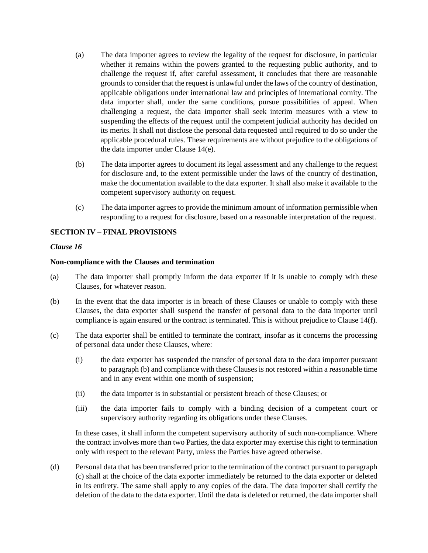- (a) The data importer agrees to review the legality of the request for disclosure, in particular whether it remains within the powers granted to the requesting public authority, and to challenge the request if, after careful assessment, it concludes that there are reasonable grounds to consider that the request is unlawful under the laws of the country of destination, applicable obligations under international law and principles of international comity. The data importer shall, under the same conditions, pursue possibilities of appeal. When challenging a request, the data importer shall seek interim measures with a view to suspending the effects of the request until the competent judicial authority has decided on its merits. It shall not disclose the personal data requested until required to do so under the applicable procedural rules. These requirements are without prejudice to the obligations of the data importer under Clause 14(e).
- (b) The data importer agrees to document its legal assessment and any challenge to the request for disclosure and, to the extent permissible under the laws of the country of destination, make the documentation available to the data exporter. It shall also make it available to the competent supervisory authority on request.
- (c) The data importer agrees to provide the minimum amount of information permissible when responding to a request for disclosure, based on a reasonable interpretation of the request.

## **SECTION IV – FINAL PROVISIONS**

## *Clause 16*

#### **Non-compliance with the Clauses and termination**

- (a) The data importer shall promptly inform the data exporter if it is unable to comply with these Clauses, for whatever reason.
- (b) In the event that the data importer is in breach of these Clauses or unable to comply with these Clauses, the data exporter shall suspend the transfer of personal data to the data importer until compliance is again ensured or the contract is terminated. This is without prejudice to Clause 14(f).
- (c) The data exporter shall be entitled to terminate the contract, insofar as it concerns the processing of personal data under these Clauses, where:
	- (i) the data exporter has suspended the transfer of personal data to the data importer pursuant to paragraph (b) and compliance with these Clauses is not restored within a reasonable time and in any event within one month of suspension;
	- (ii) the data importer is in substantial or persistent breach of these Clauses; or
	- (iii) the data importer fails to comply with a binding decision of a competent court or supervisory authority regarding its obligations under these Clauses.

In these cases, it shall inform the competent supervisory authority of such non-compliance. Where the contract involves more than two Parties, the data exporter may exercise this right to termination only with respect to the relevant Party, unless the Parties have agreed otherwise.

(d) Personal data that has been transferred prior to the termination of the contract pursuant to paragraph (c) shall at the choice of the data exporter immediately be returned to the data exporter or deleted in its entirety. The same shall apply to any copies of the data. The data importer shall certify the deletion of the data to the data exporter. Until the data is deleted or returned, the data importer shall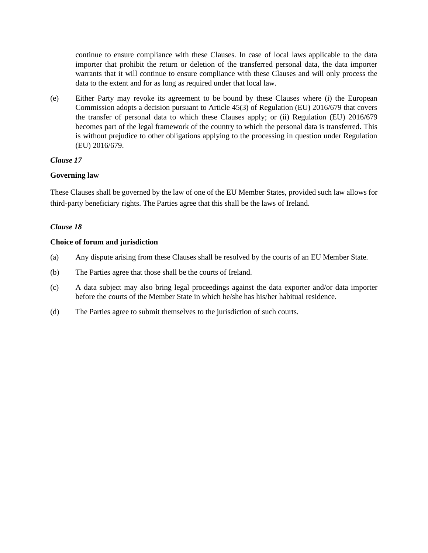continue to ensure compliance with these Clauses. In case of local laws applicable to the data importer that prohibit the return or deletion of the transferred personal data, the data importer warrants that it will continue to ensure compliance with these Clauses and will only process the data to the extent and for as long as required under that local law.

(e) Either Party may revoke its agreement to be bound by these Clauses where (i) the European Commission adopts a decision pursuant to Article 45(3) of Regulation (EU) 2016/679 that covers the transfer of personal data to which these Clauses apply; or (ii) Regulation (EU) 2016/679 becomes part of the legal framework of the country to which the personal data is transferred. This is without prejudice to other obligations applying to the processing in question under Regulation (EU) 2016/679.

## *Clause 17*

## **Governing law**

These Clauses shall be governed by the law of one of the EU Member States, provided such law allows for third-party beneficiary rights. The Parties agree that this shall be the laws of Ireland.

## *Clause 18*

## **Choice of forum and jurisdiction**

- (a) Any dispute arising from these Clauses shall be resolved by the courts of an EU Member State.
- (b) The Parties agree that those shall be the courts of Ireland.
- (c) A data subject may also bring legal proceedings against the data exporter and/or data importer before the courts of the Member State in which he/she has his/her habitual residence.
- (d) The Parties agree to submit themselves to the jurisdiction of such courts.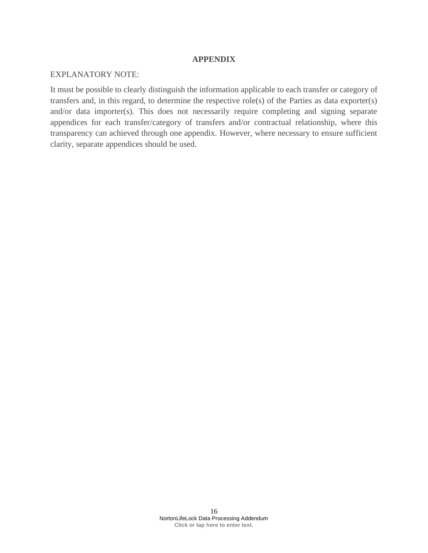## **APPENDIX**

## EXPLANATORY NOTE:

It must be possible to clearly distinguish the information applicable to each transfer or category of transfers and, in this regard, to determine the respective role(s) of the Parties as data exporter(s) and/or data importer(s). This does not necessarily require completing and signing separate appendices for each transfer/category of transfers and/or contractual relationship, where this transparency can achieved through one appendix. However, where necessary to ensure sufficient clarity, separate appendices should be used.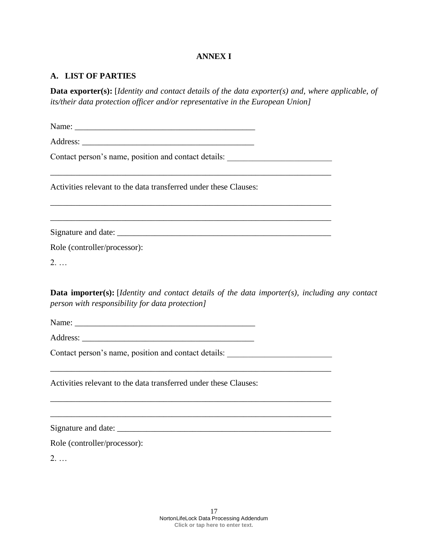# **ANNEX I**

# **A. LIST OF PARTIES**

**Data exporter(s):** [*Identity and contact details of the data exporter(s) and, where applicable, of its/their data protection officer and/or representative in the European Union]*

Name:

\_\_\_\_\_\_\_\_\_\_\_\_\_\_\_\_\_\_\_\_\_\_\_\_\_\_\_\_\_\_\_\_\_\_\_\_\_\_\_\_\_\_\_\_\_\_\_\_\_\_\_\_\_\_\_\_\_\_\_\_\_\_\_\_\_\_\_

\_\_\_\_\_\_\_\_\_\_\_\_\_\_\_\_\_\_\_\_\_\_\_\_\_\_\_\_\_\_\_\_\_\_\_\_\_\_\_\_\_\_\_\_\_\_\_\_\_\_\_\_\_\_\_\_\_\_\_\_\_\_\_\_\_\_\_

\_\_\_\_\_\_\_\_\_\_\_\_\_\_\_\_\_\_\_\_\_\_\_\_\_\_\_\_\_\_\_\_\_\_\_\_\_\_\_\_\_\_\_\_\_\_\_\_\_\_\_\_\_\_\_\_\_\_\_\_\_\_\_\_\_\_\_

\_\_\_\_\_\_\_\_\_\_\_\_\_\_\_\_\_\_\_\_\_\_\_\_\_\_\_\_\_\_\_\_\_\_\_\_\_\_\_\_\_\_\_\_\_\_\_\_\_\_\_\_\_\_\_\_\_\_\_\_\_\_\_\_\_\_\_

\_\_\_\_\_\_\_\_\_\_\_\_\_\_\_\_\_\_\_\_\_\_\_\_\_\_\_\_\_\_\_\_\_\_\_\_\_\_\_\_\_\_\_\_\_\_\_\_\_\_\_\_\_\_\_\_\_\_\_\_\_\_\_\_\_\_\_

Address: \_\_\_\_\_\_\_\_\_\_\_\_\_\_\_\_\_\_\_\_\_\_\_\_\_\_\_\_\_\_\_\_\_\_\_\_\_\_\_\_\_

Contact person's name, position and contact details: \_\_\_\_\_\_\_\_\_\_\_\_\_\_\_\_\_\_\_\_\_\_\_\_\_\_\_\_

Activities relevant to the data transferred under these Clauses:

Signature and date: \_\_\_\_\_\_\_\_\_\_\_\_\_\_\_\_\_\_\_\_\_\_\_\_\_\_\_\_\_\_\_\_\_\_\_\_\_\_\_\_\_\_\_\_\_\_\_\_\_\_\_

| Role (controller/processor): |  |
|------------------------------|--|
|------------------------------|--|

2. …

**Data importer(s):** [*Identity and contact details of the data importer(s), including any contact person with responsibility for data protection]*

\_\_\_\_\_\_\_\_\_\_\_\_\_\_\_\_\_\_\_\_\_\_\_\_\_\_\_\_\_\_\_\_\_\_\_\_\_\_\_\_\_\_\_\_\_\_\_\_\_\_\_\_\_\_\_\_\_\_\_\_\_\_\_\_\_\_\_

Name: \_\_\_\_\_\_\_\_\_\_\_\_\_\_\_\_\_\_\_\_\_\_\_\_\_\_\_\_\_\_\_\_\_\_\_\_\_\_\_\_\_\_\_

Address:

Contact person's name, position and contact details: \_\_\_\_\_\_\_\_\_\_\_\_\_\_\_\_\_\_\_\_\_\_\_\_\_\_\_

Activities relevant to the data transferred under these Clauses:

Signature and date: \_\_\_\_\_\_\_\_\_\_\_\_\_\_\_\_\_\_\_\_\_\_\_\_\_\_\_\_\_\_\_\_\_\_\_\_\_\_\_\_\_\_\_\_\_\_\_\_\_\_\_

Role (controller/processor):

2. …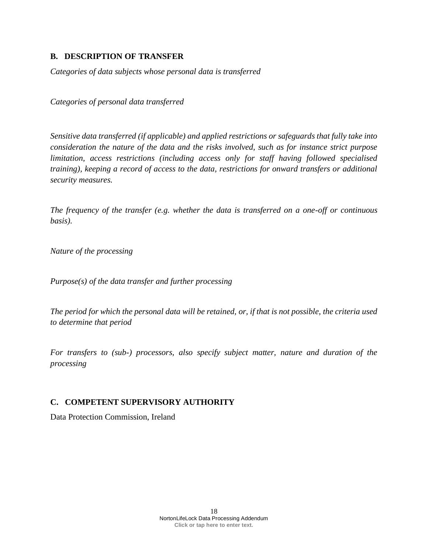# **B. DESCRIPTION OF TRANSFER**

*Categories of data subjects whose personal data is transferred*

*Categories of personal data transferred*

*Sensitive data transferred (if applicable) and applied restrictions or safeguards that fully take into consideration the nature of the data and the risks involved, such as for instance strict purpose limitation, access restrictions (including access only for staff having followed specialised training), keeping a record of access to the data, restrictions for onward transfers or additional security measures.*

*The frequency of the transfer (e.g. whether the data is transferred on a one-off or continuous basis).*

*Nature of the processing*

*Purpose(s) of the data transfer and further processing*

*The period for which the personal data will be retained, or, if that is not possible, the criteria used to determine that period*

*For transfers to (sub-) processors, also specify subject matter, nature and duration of the processing*

# **C. COMPETENT SUPERVISORY AUTHORITY**

Data Protection Commission, Ireland